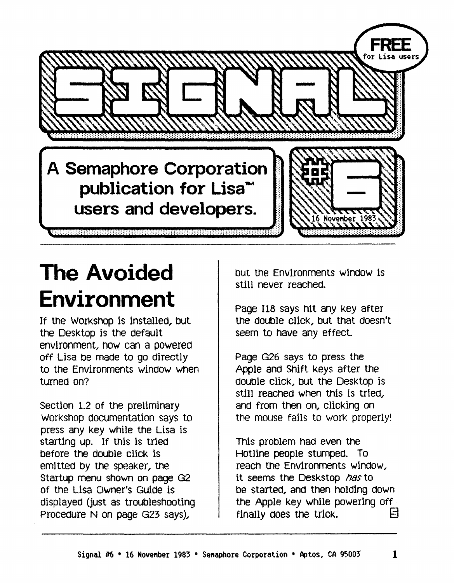

# **The Avoided Environment**

If the Workshop is installed, but the Desktop is the default environment, how can a powered off Lisa be made to go directly to the Environments window when turned on?

Section 1.2 of the preliminary Workshop documentation says to press any key while the Lisa is starting up. If this is tried before the double click is eml tted by the speaker, the Startup menu shown on page G2 of the Lisa Owner's Guide is displayed (just as troubleshooting Procedure N on page G23 says),

but me EnvIronments w1ndow Is still never reached.

Page 118 says hit any key after the double cllck, but that doesn't seem to have any effect.

Page G26 says to press the Apple and Shift Keys after the double click, but the Desktop is still reached when this is tried. and from then on, clicking on the mouse fails to work properly!

This problem had even the Hotline people stumped. To reach the EnvIronments wIndOW, it seems the Deskstop *has* to be started, and then holding down the Apple key while powering off finally does the trick.  $\Box$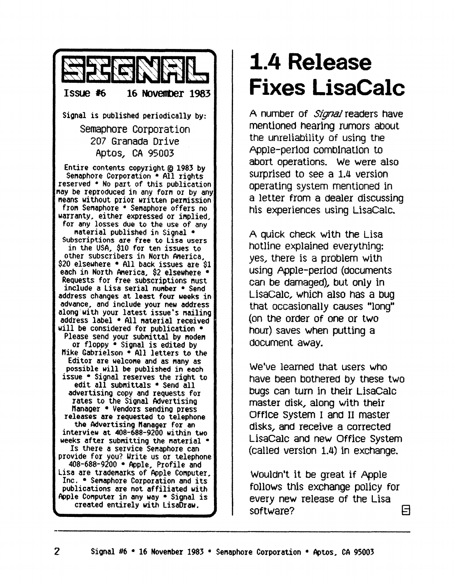

#### **1.4 Release Fixes LisaCalc**

A number of *Signal* readers have mentioned hearing rumors about the unreliability of using the Apple-period combination to abort operations. We were also surprised to see a 1.4 version operating system mentioned in a letter from a dealer discussing his experiences using LisaCalc.

A quick check with the Lisa hotline explained everything: yes, there is a problem with using Apple-period (documents can be damaged), but only in LisaCalc, WhiCh also has a bug that occasionally causes "long" (on the order of one or two hour) saves when putting a document away.

We've learned that users who have been bothered by these two bugs can tum in their LisaCalc master disk, along with their Office system I ana II master disks., and receive a corrected LisaCalc and new Office System (called version 1.4) in exchange.

WOUldn't it be great if Apple follows this eXChange policy for every new release of the Lisa software? E]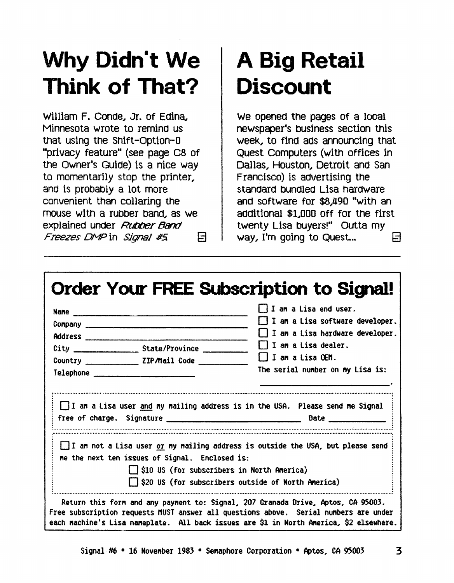# Why Didn't We **Think of That?**

William F. Conde, Jr. of Edina, Minnesota wrote to remind us that using the Shift-Option-0 "privacy feature" (see page C8 of the Owner's Guide) is a nice way to momentarily stop the printer, and is probably a lot more convenient than collaring the mouse with a rubber band, as we explained under Rubber Band Freezes DMP in Signal #5  $\Box$ 

# **A Big Retail Discount**

We opened the pages of a local newspaper's business section this week, to find ads announcing that Quest Computers (with offices in Dallas, Houston, Detroit and San Francisco) is advertising the standard bundled Lisa hardware and software for \$8,490 "with an additional \$1,000 off for the first twenty Lisa buyers!" Outta my way, I'm going to Quest... 日

|  |                                                                                             | I I am a Lisa end user.<br>$\Box$ I am a Lisa software developer.<br>$\Box$ I an a Lisa hardware developer. |  |  |                            |
|--|---------------------------------------------------------------------------------------------|-------------------------------------------------------------------------------------------------------------|--|--|----------------------------|
|  |                                                                                             |                                                                                                             |  |  | $\Box$ I an a Lisa dealer. |
|  |                                                                                             |                                                                                                             |  |  | $\Box$ I an a Lisa OEM.    |
|  | $\textcolor{blue}{\mathsf{Telephone}}$                                                      | The serial number on my Lisa is:                                                                            |  |  |                            |
|  |                                                                                             | $\Box$ I am a Lisa user and my mailing address is in the USA. Please send me Signal                         |  |  |                            |
|  | me the next ten issues of Signal. Enclosed is:<br>S10 US (for subscribers in North America) | I I an not a Lisa user or my mailing address is outside the USA, but please send                            |  |  |                            |
|  |                                                                                             |                                                                                                             |  |  |                            |